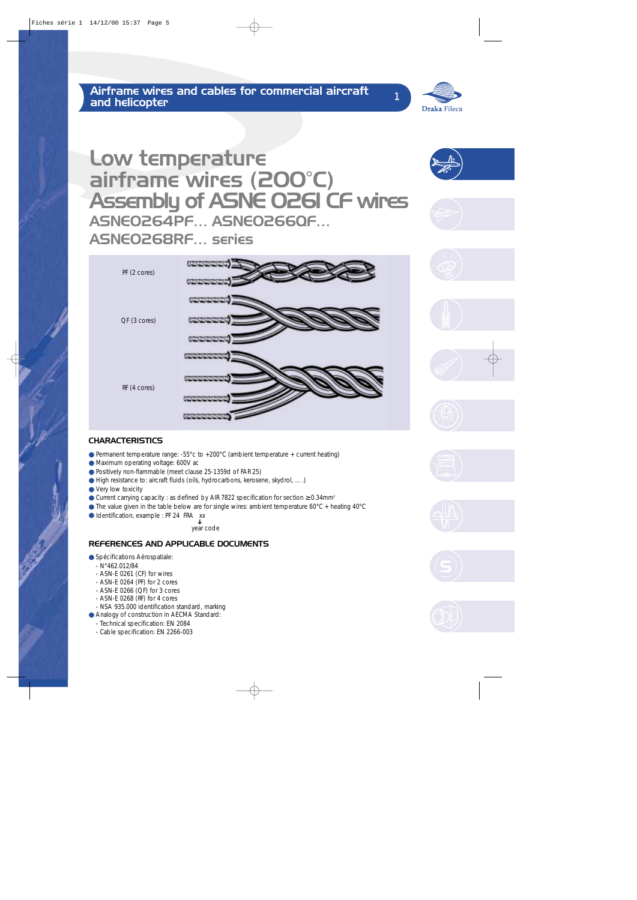

# Low temperature airframe wires (200°C) Assembly of ASNE 0261 CF wires ASNE0264PF… ASNE0266QF… ASNE0268RF… series



### **CHARACTERISTICS**

- Permanent temperature range: -55°c to +200°C (ambient temperature + current heating)
- Maximum operating voltage: 600V ac
- Positively non-flammable (meet clause 25-1359d of FAR 25)
- High resistance to: aircraft fluids (oils, hydrocarbons, kerosene, skydrol, ….)
- Very low toxicity
- $\bullet$  Current carrying capacity : as defined by AIR 7822 specification for section ≥ 0.34mm<sup>2</sup>
- $\bullet$  The value given in the table below are for single wires: ambient temperature 60 $\degree$ C + heating 40 $\degree$ C
- Identification, example : PF 24 FRA xx

year code ➔

### REFERENCES AND APPLICABLE DOCUMENTS

- Spécifications Aérospatiale:
	- N°462.012/84
	- ASN-E 0261 (CF) for wires
	- ASN-E 0264 (PF) for 2 cores
	- ASN-E 0266 (QF) for 3 cores
	- ASN-E 0268 (RF) for 4 cores
	- NSA 935.000 identification standard, marking
- Analogy of construction in AECMA Standard:
	- Technical specification: EN 2084
	- Cable specification: EN 2266-003